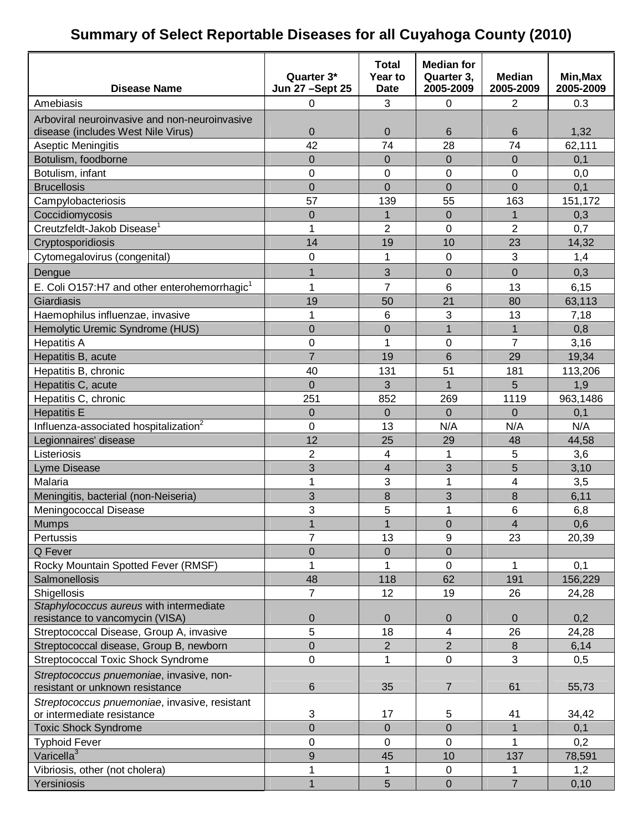## **Summary of Select Reportable Diseases for all Cuyahoga County (2010)**

| <b>Disease Name</b>                                                                 | Quarter 3*<br>Jun 27 - Sept 25 | <b>Total</b><br>Year to<br><b>Date</b> | <b>Median for</b><br>Quarter 3,<br>2005-2009 | <b>Median</b><br>2005-2009 | Min, Max<br>2005-2009 |
|-------------------------------------------------------------------------------------|--------------------------------|----------------------------------------|----------------------------------------------|----------------------------|-----------------------|
| Amebiasis                                                                           | 0                              | 3                                      | $\mathbf 0$                                  | 2                          | 0.3                   |
|                                                                                     |                                |                                        |                                              |                            |                       |
| Arboviral neuroinvasive and non-neuroinvasive<br>disease (includes West Nile Virus) | 0                              | 0                                      | 6                                            | 6                          | 1,32                  |
| Aseptic Meningitis                                                                  | 42                             | 74                                     | 28                                           | 74                         | 62,111                |
| Botulism, foodborne                                                                 | $\overline{0}$                 | $\overline{0}$                         | $\Omega$                                     | $\overline{0}$             | 0,1                   |
| Botulism, infant                                                                    | 0                              | 0                                      | 0                                            | 0                          | 0,0                   |
| <b>Brucellosis</b>                                                                  | $\overline{0}$                 | $\overline{0}$                         | $\overline{0}$                               | 0                          | 0,1                   |
| Campylobacteriosis                                                                  | 57                             | 139                                    | 55                                           | 163                        | 151,172               |
| Coccidiomycosis                                                                     | 0                              | $\overline{1}$                         | $\overline{0}$                               | 1                          | 0,3                   |
| Creutzfeldt-Jakob Disease <sup>1</sup>                                              | 1                              | $\overline{2}$                         | 0                                            | $\overline{2}$             | 0,7                   |
| Cryptosporidiosis                                                                   | 14                             | 19                                     | 10                                           | 23                         | 14,32                 |
|                                                                                     | 0                              | 1                                      | 0                                            | 3                          |                       |
| Cytomegalovirus (congenital)                                                        |                                |                                        |                                              |                            | 1,4                   |
| Dengue                                                                              | $\overline{1}$                 | 3                                      | $\overline{0}$                               | $\overline{0}$             | 0,3                   |
| E. Coli O157:H7 and other enterohemorrhagic <sup>1</sup>                            | 1                              | 7                                      | 6                                            | 13                         | 6, 15                 |
| Giardiasis                                                                          | 19                             | 50                                     | 21                                           | 80                         | 63,113                |
| Haemophilus influenzae, invasive                                                    | 1                              | 6                                      | 3                                            | 13                         | 7,18                  |
| Hemolytic Uremic Syndrome (HUS)                                                     | $\overline{0}$                 | $\mathbf 0$                            | $\overline{1}$                               | 1                          | 0,8                   |
| <b>Hepatitis A</b>                                                                  | 0                              | $\overline{1}$                         | 0                                            | $\overline{7}$             | 3,16                  |
| Hepatitis B, acute                                                                  | $\overline{7}$                 | 19                                     | 6                                            | 29                         | 19,34                 |
| Hepatitis B, chronic                                                                | 40                             | 131                                    | 51                                           | 181                        | 113,206               |
| Hepatitis C, acute                                                                  | 0                              | 3                                      | $\overline{1}$                               | 5                          | 1,9                   |
| Hepatitis C, chronic                                                                | 251                            | 852                                    | 269                                          | 1119                       | 963,1486              |
| <b>Hepatitis E</b>                                                                  | $\overline{0}$                 | $\Omega$                               | $\Omega$                                     | $\Omega$                   | 0,1                   |
| Influenza-associated hospitalization <sup>2</sup>                                   | 0                              | 13                                     | N/A                                          | N/A                        | N/A                   |
| Legionnaires' disease                                                               | 12                             | 25                                     | 29                                           | 48                         | 44,58                 |
| Listeriosis                                                                         | $\overline{2}$                 | 4                                      | 1                                            | 5                          | 3,6                   |
| Lyme Disease                                                                        | 3                              | $\overline{\mathbf{4}}$                | 3                                            | 5                          | 3,10                  |
| Malaria                                                                             | 1                              | 3                                      | 1                                            | 4                          | 3,5                   |
| Meningitis, bacterial (non-Neiseria)                                                | 3                              | 8                                      | 3                                            | 8                          | 6,11                  |
| Meningococcal Disease                                                               | 3                              | 5                                      | 1                                            | 6                          | 6,8                   |
| <b>Mumps</b>                                                                        | $\overline{1}$                 | $\overline{1}$                         | $\mathbf 0$                                  | 4                          | 0,6                   |
| Pertussis                                                                           | $\overline{7}$                 | 13                                     | 9                                            | 23                         | 20,39                 |
| Q Fever                                                                             | 0                              | 0                                      | $\mathbf 0$                                  |                            |                       |
| Rocky Mountain Spotted Fever (RMSF)                                                 | 1                              | 1                                      | $\mathbf 0$                                  | 1                          | 0,1                   |
| Salmonellosis                                                                       | 48                             | 118                                    | 62                                           | 191                        | 156,229               |
| Shigellosis                                                                         | $\overline{7}$                 | 12                                     | 19                                           | 26                         | 24,28                 |
| Staphylococcus aureus with intermediate                                             |                                |                                        |                                              |                            |                       |
| resistance to vancomycin (VISA)                                                     | 0                              | 0                                      | $\mathbf 0$                                  | $\overline{0}$             | 0,2                   |
| Streptococcal Disease, Group A, invasive                                            | 5                              | 18                                     | 4                                            | 26                         | 24,28                 |
| Streptococcal disease, Group B, newborn                                             | 0                              | $\overline{2}$                         | $\overline{2}$                               | 8                          | 6,14                  |
| <b>Streptococcal Toxic Shock Syndrome</b>                                           | 0                              | 1                                      | $\mathbf 0$                                  | 3                          | 0,5                   |
| Streptococcus pnuemoniae, invasive, non-<br>resistant or unknown resistance         | 6                              | 35                                     | $\overline{7}$                               | 61                         | 55,73                 |
| Streptococcus pnuemoniae, invasive, resistant                                       |                                |                                        |                                              |                            |                       |
| or intermediate resistance                                                          | 3                              | 17                                     | 5                                            | 41                         | 34,42                 |
| <b>Toxic Shock Syndrome</b>                                                         | 0                              | 0                                      | $\overline{0}$                               | 1                          | 0,1                   |
| <b>Typhoid Fever</b>                                                                | 0                              | $\mathbf 0$                            | $\mathbf 0$                                  | 1                          | 0,2                   |
| Varicella <sup>3</sup>                                                              | 9                              | 45                                     | 10                                           | 137                        | 78,591                |
| Vibriosis, other (not cholera)                                                      | 1                              | 1                                      | $\mathbf 0$                                  |                            | 1,2                   |
| Yersiniosis                                                                         | $\overline{1}$                 | 5                                      | $\boldsymbol{0}$                             | $\overline{7}$             | 0, 10                 |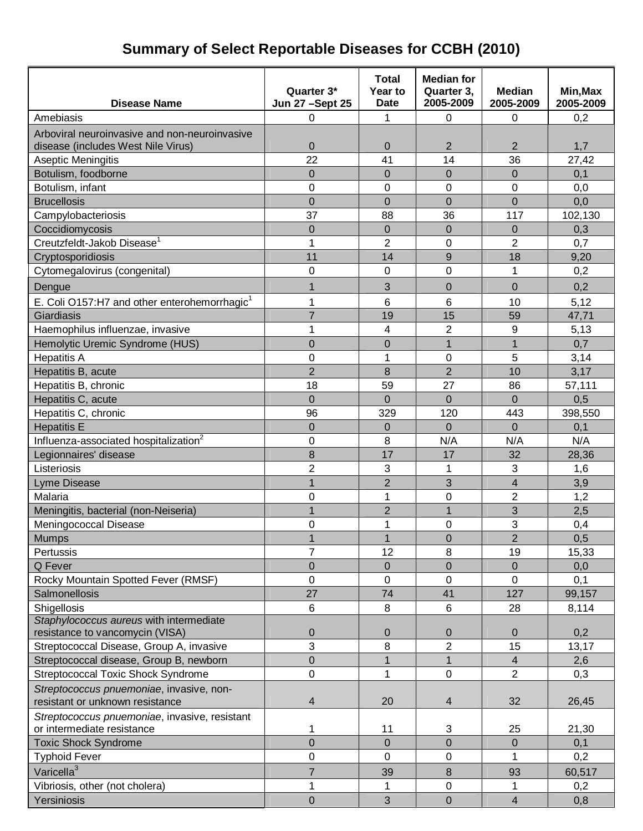# **Summary of Select Reportable Diseases for CCBH (2010)**

| <b>Disease Name</b>                                      | Quarter 3*<br><b>Jun 27 - Sept 25</b> | <b>Total</b><br>Year to<br><b>Date</b> | <b>Median for</b><br>Quarter 3,<br>2005-2009 | <b>Median</b><br>2005-2009 | Min, Max<br>2005-2009 |
|----------------------------------------------------------|---------------------------------------|----------------------------------------|----------------------------------------------|----------------------------|-----------------------|
| Amebiasis                                                | 0                                     | 1                                      | $\mathbf 0$                                  | 0                          | 0,2                   |
| Arboviral neuroinvasive and non-neuroinvasive            |                                       |                                        |                                              |                            |                       |
| disease (includes West Nile Virus)                       | $\pmb{0}$                             | $\boldsymbol{0}$                       | $\overline{2}$                               | $\overline{2}$             | 1,7                   |
| Aseptic Meningitis                                       | 22                                    | 41                                     | 14                                           | 36                         | 27,42                 |
| Botulism, foodborne                                      | $\overline{0}$                        | 0                                      | $\overline{0}$                               | $\Omega$                   | 0,1                   |
| Botulism, infant                                         | $\mathbf 0$                           | 0                                      | 0                                            | 0                          | 0,0                   |
| <b>Brucellosis</b>                                       | $\overline{0}$                        | 0                                      | $\mathbf 0$                                  | $\overline{0}$             | 0,0                   |
| Campylobacteriosis                                       | 37                                    | 88                                     | 36                                           | 117                        | 102,130               |
| Coccidiomycosis                                          | $\overline{0}$                        | $\overline{0}$                         | $\mathbf 0$                                  | $\mathbf 0$                | 0,3                   |
| Creutzfeldt-Jakob Disease <sup>1</sup>                   | 1                                     | $\overline{2}$                         | 0                                            | $\overline{2}$             | 0,7                   |
| Cryptosporidiosis                                        | 11                                    | 14                                     | 9                                            | 18                         | 9,20                  |
| Cytomegalovirus (congenital)                             | $\mathbf 0$                           | 0                                      | 0                                            | 1                          | 0,2                   |
| Dengue                                                   | 1                                     | 3                                      | 0                                            | $\mathbf 0$                | 0,2                   |
| E. Coli O157:H7 and other enterohemorrhagic <sup>1</sup> | 1                                     | 6                                      | 6                                            | 10                         | 5,12                  |
| Giardiasis                                               | $\overline{7}$                        | 19                                     | 15                                           | 59                         | 47,71                 |
| Haemophilus influenzae, invasive                         | 1                                     | 4                                      | $\overline{2}$                               | 9                          | 5,13                  |
| Hemolytic Uremic Syndrome (HUS)                          | $\overline{0}$                        | 0                                      | $\overline{1}$                               | 1                          | 0,7                   |
| <b>Hepatitis A</b>                                       | $\mathbf 0$                           | 1                                      | 0                                            | 5                          | 3,14                  |
| Hepatitis B, acute                                       | $\overline{2}$                        | 8                                      | $\overline{2}$                               | 10                         | 3,17                  |
| Hepatitis B, chronic                                     | 18                                    | 59                                     | 27                                           | 86                         | 57,111                |
| Hepatitis C, acute                                       | $\overline{0}$                        | $\overline{0}$                         | $\Omega$                                     | $\Omega$                   | 0,5                   |
| Hepatitis C, chronic                                     | 96                                    | 329                                    | 120                                          | 443                        | 398,550               |
| <b>Hepatitis E</b>                                       | $\overline{0}$                        | 0                                      | $\overline{0}$                               | $\Omega$                   | 0,1                   |
| Influenza-associated hospitalization <sup>2</sup>        | $\mathbf 0$                           | 8                                      | N/A                                          | N/A                        | N/A                   |
| Legionnaires' disease                                    | 8                                     | 17                                     | 17                                           | 32                         | 28,36                 |
| Listeriosis                                              | $\overline{2}$                        | 3                                      | 1                                            | 3                          | 1,6                   |
| Lyme Disease                                             | $\mathbf{1}$                          | $\overline{2}$                         | 3                                            | $\overline{4}$             | 3,9                   |
| Malaria                                                  | $\mathbf 0$                           | 1                                      | 0                                            | $\overline{2}$             | 1,2                   |
| Meningitis, bacterial (non-Neiseria)                     | 1                                     | $\overline{2}$                         | $\mathbf{1}$                                 | 3                          | 2,5                   |
| Meningococcal Disease                                    | 0                                     | 1                                      | 0                                            | 3                          | 0,4                   |
| <b>Mumps</b>                                             |                                       | 1                                      | 0                                            | 2                          | 0,5                   |
| Pertussis                                                | $\overline{7}$                        | 12                                     | 8                                            | 19                         | 15,33                 |
| Q Fever                                                  | $\overline{0}$                        | $\boldsymbol{0}$                       | $\overline{0}$                               | $\mathbf 0$                | 0,0                   |
| Rocky Mountain Spotted Fever (RMSF)                      | 0                                     | 0                                      | 0                                            | 0                          | 0,1                   |
| Salmonellosis                                            | 27                                    | 74                                     | 41                                           | 127                        | 99,157                |
| Shigellosis                                              | 6                                     | 8                                      | 6                                            | 28                         | 8,114                 |
| Staphylococcus aureus with intermediate                  |                                       |                                        |                                              |                            |                       |
| resistance to vancomycin (VISA)                          | $\mathbf 0$                           | 0                                      | 0                                            | $\mathbf{0}$               | 0,2                   |
| Streptococcal Disease, Group A, invasive                 | 3                                     | 8                                      | 2                                            | 15                         | 13,17                 |
| Streptococcal disease, Group B, newborn                  | $\pmb{0}$                             | 1                                      | $\mathbf{1}$                                 | $\overline{4}$             | 2,6                   |
| <b>Streptococcal Toxic Shock Syndrome</b>                | 0                                     | 1                                      | 0                                            | $\overline{2}$             | 0,3                   |
| Streptococcus pnuemoniae, invasive, non-                 |                                       |                                        |                                              |                            |                       |
| resistant or unknown resistance                          | $\overline{\mathbf{4}}$               | 20                                     | 4                                            | 32                         | 26,45                 |
| Streptococcus pnuemoniae, invasive, resistant            |                                       |                                        |                                              |                            |                       |
| or intermediate resistance                               | 1<br>$\overline{0}$                   | 11<br>$\overline{0}$                   | 3<br>$\overline{0}$                          | 25<br>$\Omega$             | 21,30                 |
| <b>Toxic Shock Syndrome</b>                              | 0                                     | 0                                      | 0                                            | 1                          | 0,1<br>0,2            |
| <b>Typhoid Fever</b>                                     |                                       |                                        |                                              |                            |                       |
| Varicella <sup>3</sup>                                   | 7                                     | 39                                     | 8                                            | 93                         | 60,517                |
| Vibriosis, other (not cholera)                           | 1                                     | 1                                      | 0                                            | 1                          | 0,2                   |
| Yersiniosis                                              | $\mathbf 0$                           | 3                                      | $\mathbf 0$                                  | $\overline{\mathbf{4}}$    | 0,8                   |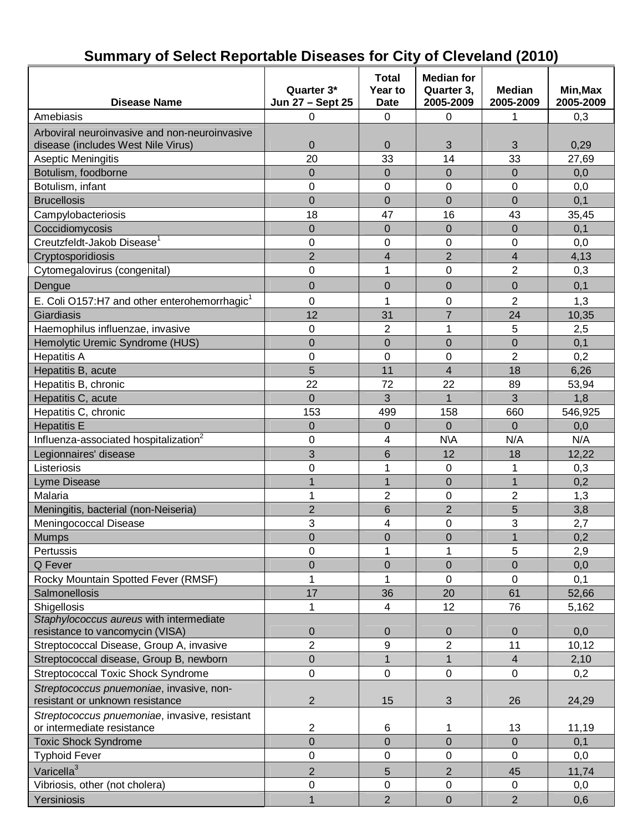#### **Disease Name Quarter 3\* Jun 27 – Sept 25 Total Year to Date Median for Quarter 3, 2005-2009 Median 2005-2009 Min,Max 2005-2009** Amebiasis | 0 | 0 | 0 | 1 | 0,3 Arboviral neuroinvasive and non-neuroinvasive disease (includes West Nile Virus) 0 0 3 3 0,29 Aseptic Meningitis 20 33 14 33 27,69 Botulism, foodborne 0 0 0 0 0,0 Botulism. infant | 0 | 0 | 0 | 0.0 Brucellosis | 0 | 0 | 0 | 0,1 Campylobacteriosis 18 47 16 43 35,45  $\text{Coccidiomycosis}$  0 0 0 0 0 0 0 0 0,1 Creutzfeldt-Jakob Disease<sup>1</sup> 0 0 0 0 0,0 Cryptosporidiosis 2 4 2 4 4,13 Cytomegalovirus (congenital) 0 1 0 2 0,3 Dengue 0 0 0 0 0,1 E. Coli O157:H7 and other enterohemorrhagic<sup>1</sup> 0 1 0 2 1,3 Giardiasis 12 31 7 24 10,35 Haemophilus influenzae, invasive 0 2 1 5 2,5 Hemolytic Uremic Syndrome (HUS)  $\begin{array}{cccc} | & 0 & 0 \\ | & 0 & 0 \\ \end{array}$  0 0 0 0,1 Hepatitis A | 0 | 0 | 0 | 2 | 0,2 Hepatitis B, acute **12 12 12 12 12 12 12 12 12 12 12 13 12 13 12 13 12 13 13 14 16.26** Hepatitis B, chronic 22 22 72 22 89 53,94 Hepatitis C, acute **1.2 1.8** 1 3 1 3 1 3 1 3 1,8 Hepatitis C, chronic **153** 153 158 158 158 1660 1546,925 Hepatitis E | 0 | 0 | 0 | 0,0 Influenza-associated hospitalization<sup>2</sup> 0 | 4 | N\A | N/A | N/A Legionnaires' disease 3 6 12 18 12,22 Listeriosis 0 1 0 1 0,3 Lyme Disease | 1 | 1 | 0 | 1 | 0,2 Malaria 1 2 0 2 1,3 Meningitis, bacterial (non-Neiseria) 1 2 6 2 5 3.8 Meningococcal Disease The Control of the Second Life of the Second Life of the Second Life of the Second Life o Mumps 0 0 0 1 0,2 Pertussis | 0 | 1 | 1 | 5 | 2,9 Q Fever 0 0 0 0 0,0 Rocky Mountain Spotted Fever (RMSF) 1 1 0 0 0,1 Salmonellosis 17 17 136 20 61 52,66 Shigellosis 1 4 | 12 | 76 | 5,162 *Staphylococcus aureus* with intermediate resistance to vancomycin (VISA) 0 0 0 0 0,0 Streptococcal Disease, Group A, invasive 2 9 2 11 10,12 Streptococcal disease, Group B, newborn | 0 | 1 | 1 | 4 | 2,10 Streptococcal Toxic Shock Syndrome 0 0 0 0 0,2 *Streptococcus pnuemoniae*, invasive, nonresistant or unknown resistance  $\vert$  2 15  $\vert$  3 26 24,29 *Streptococcus pnuemoniae*, invasive, resistant or intermediate resistance 2 6 1 13 11,19 Toxic Shock Syndrome **1** 0 0 0 0 0,1 0 0 0,1 0,1 Typhoid Fever | 0 | 0 | 0 0,0 Varicella $3$ 2 5 2 45 11,74 Vibriosis, other (not cholera)  $\begin{array}{cccc} | & 0 & | & 0 & | & 0 & | & 0.0 \end{array}$ Yersiniosis 1 2 0 2 0,6

### **Summary of Select Reportable Diseases for City of Cleveland (2010)**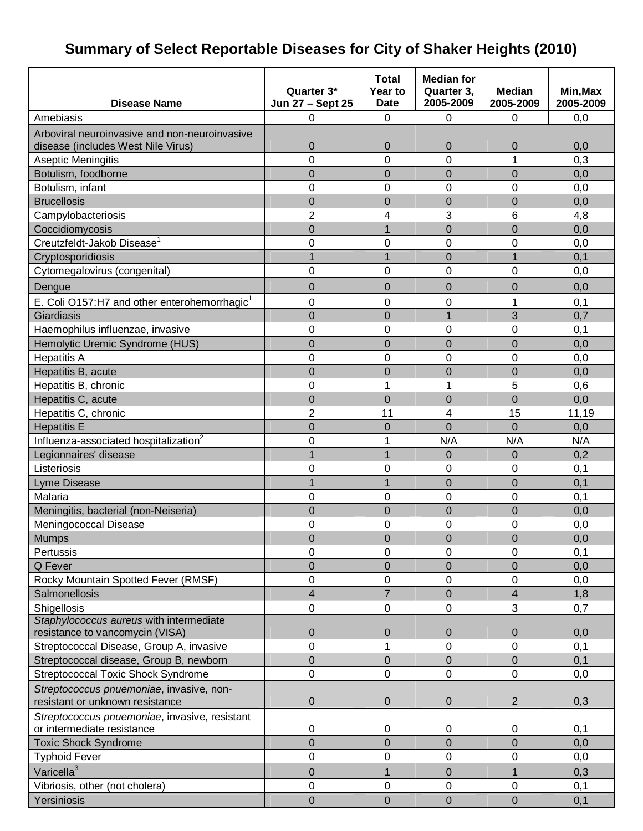# **Summary of Select Reportable Diseases for City of Shaker Heights (2010)**

|                                                                             | Quarter 3*              | <b>Total</b><br>Year to | <b>Median for</b><br>Quarter 3, | <b>Median</b>    | Min, Max  |
|-----------------------------------------------------------------------------|-------------------------|-------------------------|---------------------------------|------------------|-----------|
| <b>Disease Name</b>                                                         | Jun 27 - Sept 25        | <b>Date</b>             | 2005-2009                       | 2005-2009        | 2005-2009 |
| Amebiasis                                                                   | 0                       | 0                       | 0                               | $\mathbf 0$      | 0,0       |
| Arboviral neuroinvasive and non-neuroinvasive                               |                         |                         |                                 |                  |           |
| disease (includes West Nile Virus)                                          | $\mathbf 0$             | $\mathbf 0$             | 0                               | 0                | 0,0       |
| Aseptic Meningitis                                                          | 0                       | 0                       | 0                               | 1                | 0,3       |
| Botulism, foodborne                                                         | $\overline{0}$          | $\overline{0}$          | $\overline{0}$                  | $\overline{0}$   | 0,0       |
| Botulism, infant                                                            | 0                       | 0                       | 0                               | 0                | 0,0       |
| <b>Brucellosis</b>                                                          | 0                       | 0                       | $\mathbf 0$                     | $\overline{0}$   | 0,0       |
| Campylobacteriosis                                                          | $\overline{2}$          | 4                       | 3                               | 6                | 4,8       |
| Coccidiomycosis                                                             | $\overline{0}$          | $\mathbf{1}$            | $\overline{0}$                  | 0                | 0,0       |
| Creutzfeldt-Jakob Disease <sup>1</sup>                                      | 0                       | 0                       | 0                               | 0                | 0,0       |
| Cryptosporidiosis                                                           | $\overline{1}$          | $\mathbf{1}$            | $\mathbf 0$                     | $\mathbf{1}$     | 0,1       |
| Cytomegalovirus (congenital)                                                | $\overline{0}$          | 0                       | 0                               | $\overline{0}$   | 0,0       |
| Dengue                                                                      | $\overline{0}$          | $\overline{0}$          | $\mathbf 0$                     | 0                | 0,0       |
| E. Coli O157:H7 and other enterohemorrhagic <sup>1</sup>                    | 0                       | 0                       | 0                               | 1                | 0,1       |
| Giardiasis                                                                  | $\overline{0}$          | $\overline{0}$          | $\overline{1}$                  | 3                | 0,7       |
| Haemophilus influenzae, invasive                                            | 0                       | 0                       | 0                               | $\mathbf 0$      | 0,1       |
| Hemolytic Uremic Syndrome (HUS)                                             | $\overline{0}$          | $\overline{0}$          | $\overline{0}$                  | $\mathbf 0$      | 0,0       |
| <b>Hepatitis A</b>                                                          | $\overline{0}$          | 0                       | 0                               | 0                | 0,0       |
| Hepatitis B, acute                                                          | 0                       | $\mathbf 0$             | $\mathbf 0$                     | $\mathbf 0$      | 0,0       |
| Hepatitis B, chronic                                                        | $\overline{0}$          | $\overline{1}$          | 1                               | 5                | 0,6       |
| Hepatitis C, acute                                                          | $\overline{0}$          | $\overline{0}$          | $\overline{0}$                  | 0                | 0,0       |
| Hepatitis C, chronic                                                        | $\overline{2}$          | 11                      | 4                               | 15               | 11,19     |
| <b>Hepatitis E</b>                                                          | $\mathbf 0$             | 0                       | $\overline{0}$                  | $\Omega$         | 0,0       |
| Influenza-associated hospitalization <sup>2</sup>                           | $\overline{0}$          | 1                       | N/A                             | N/A              | N/A       |
| Legionnaires' disease                                                       | 1                       | $\overline{1}$          | $\mathbf 0$                     | 0                | 0,2       |
| Listeriosis                                                                 | 0                       | 0                       | 0                               | $\boldsymbol{0}$ | 0,1       |
| <b>Lyme Disease</b>                                                         | $\overline{1}$          | $\overline{1}$          | $\overline{0}$                  | $\overline{0}$   | 0,1       |
| Malaria                                                                     | 0                       | 0                       | 0                               | $\mathbf 0$      | 0,1       |
| Meningitis, bacterial (non-Neiseria)                                        | $\overline{0}$          | $\overline{0}$          | $\overline{0}$                  | $\overline{0}$   | 0,0       |
| Meningococcal Disease                                                       | 0                       | 0                       | 0                               | 0                | 0,0       |
| <b>Mumps</b>                                                                | $\mathbf 0$             | $\mathbf 0$             | $\mathbf 0$                     | $\overline{0}$   | 0,0       |
| Pertussis                                                                   | 0                       | 0                       | 0                               | 0                | 0,1       |
| Q Fever                                                                     | $\mathbf 0$             | $\boldsymbol{0}$        | $\mathbf 0$                     | $\boldsymbol{0}$ | 0,0       |
| Rocky Mountain Spotted Fever (RMSF)                                         | 0                       | 0                       | 0                               | 0                | 0,0       |
| Salmonellosis                                                               | $\overline{\mathbf{4}}$ | $\overline{7}$          | $\overline{0}$                  | $\overline{4}$   | 1,8       |
| Shigellosis                                                                 | 0                       | 0                       | 0                               | 3                | 0,7       |
| Staphylococcus aureus with intermediate                                     |                         |                         |                                 |                  |           |
| resistance to vancomycin (VISA)                                             | $\mathbf 0$             | $\mathbf 0$             | $\mathbf 0$                     | $\mathbf 0$      | 0,0       |
| Streptococcal Disease, Group A, invasive                                    | $\mathbf 0$             | 1                       | 0                               | $\mathbf 0$      | 0,1       |
| Streptococcal disease, Group B, newborn                                     | $\boldsymbol{0}$        | 0                       | 0                               | $\boldsymbol{0}$ | 0,1       |
| Streptococcal Toxic Shock Syndrome                                          | 0                       | 0                       | 0                               | 0                | 0,0       |
| Streptococcus pnuemoniae, invasive, non-<br>resistant or unknown resistance | $\pmb{0}$               | 0                       | 0                               | $\overline{2}$   | 0,3       |
| Streptococcus pnuemoniae, invasive, resistant                               |                         |                         |                                 |                  |           |
| or intermediate resistance                                                  | $\pmb{0}$               | 0                       | 0                               | $\mathbf 0$      | 0,1       |
| <b>Toxic Shock Syndrome</b>                                                 | $\overline{0}$          | $\mathbf 0$             | $\mathbf 0$                     | 0                | 0,0       |
| <b>Typhoid Fever</b>                                                        | 0                       | 0                       | 0                               | 0                | 0,0       |
| Varicella <sup>3</sup>                                                      | $\mathbf 0$             | 1                       | $\mathbf 0$                     | 1                | 0,3       |
| Vibriosis, other (not cholera)                                              | $\pmb{0}$               | 0                       | 0                               | $\boldsymbol{0}$ | 0,1       |
| Yersiniosis                                                                 | $\mathbf 0$             | $\mathbf 0$             | $\boldsymbol{0}$                | $\pmb{0}$        | 0,1       |